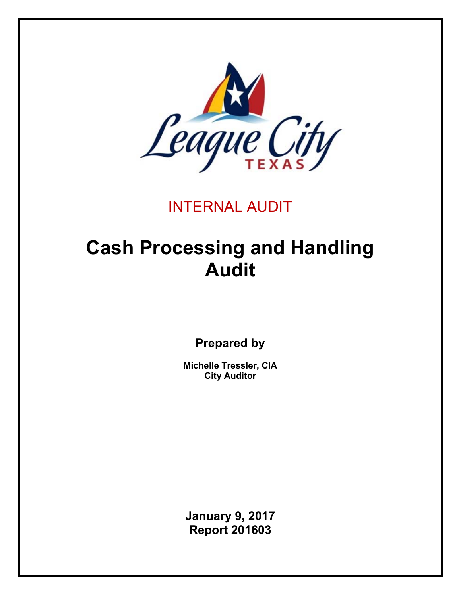

# INTERNAL AUDIT

# **Cash Processing and Handling Audit**

**Prepared by** 

**Michelle Tressler, CIA City Auditor** 

**January 9, 2017 Report 201603**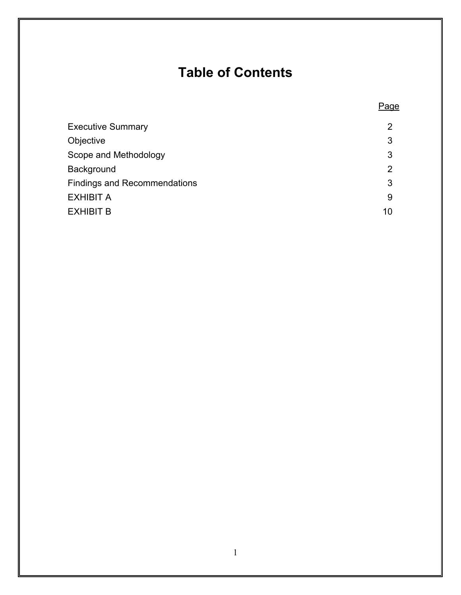# **Table of Contents**

**Page Page Page Page** 

| <b>Executive Summary</b>            | $\overline{2}$ |
|-------------------------------------|----------------|
| Objective                           | 3              |
| Scope and Methodology               | 3              |
| Background                          | $\overline{2}$ |
| <b>Findings and Recommendations</b> | 3              |
| EXHIBIT A                           | 9              |
| EXHIBIT B                           | 10             |
|                                     |                |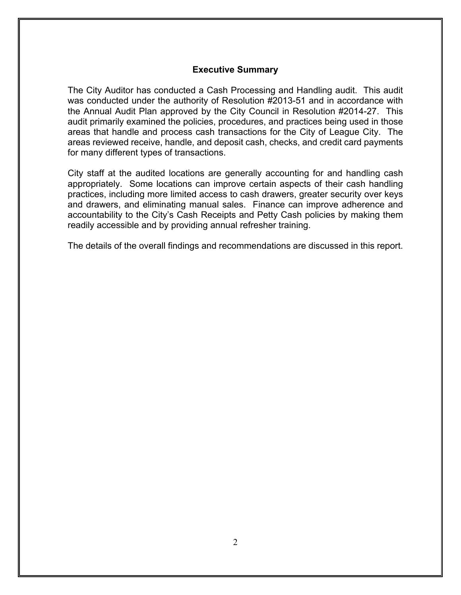#### **Executive Summary**

The City Auditor has conducted a Cash Processing and Handling audit. This audit was conducted under the authority of Resolution #2013-51 and in accordance with the Annual Audit Plan approved by the City Council in Resolution #2014-27. This audit primarily examined the policies, procedures, and practices being used in those areas that handle and process cash transactions for the City of League City. The areas reviewed receive, handle, and deposit cash, checks, and credit card payments for many different types of transactions.

City staff at the audited locations are generally accounting for and handling cash appropriately. Some locations can improve certain aspects of their cash handling practices, including more limited access to cash drawers, greater security over keys and drawers, and eliminating manual sales. Finance can improve adherence and accountability to the City's Cash Receipts and Petty Cash policies by making them readily accessible and by providing annual refresher training.

The details of the overall findings and recommendations are discussed in this report.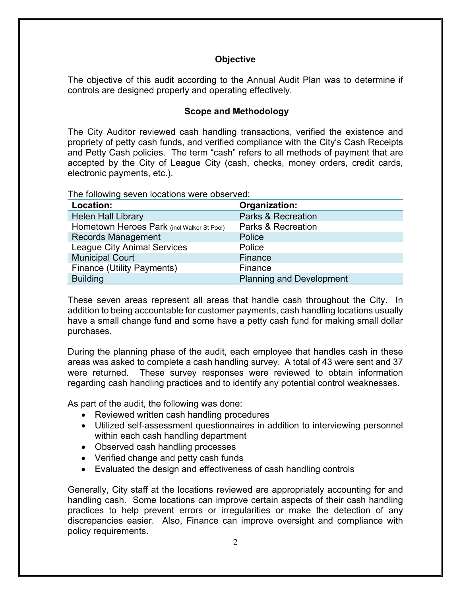#### **Objective**

The objective of this audit according to the Annual Audit Plan was to determine if controls are designed properly and operating effectively.

#### **Scope and Methodology**

The City Auditor reviewed cash handling transactions, verified the existence and propriety of petty cash funds, and verified compliance with the City's Cash Receipts and Petty Cash policies. The term "cash" refers to all methods of payment that are accepted by the City of League City (cash, checks, money orders, credit cards, electronic payments, etc.).

The following seven locations were observed:

| Location:                                  | Organization:                   |
|--------------------------------------------|---------------------------------|
| <b>Helen Hall Library</b>                  | <b>Parks &amp; Recreation</b>   |
| Hometown Heroes Park (incl Walker St Pool) | <b>Parks &amp; Recreation</b>   |
| <b>Records Management</b>                  | Police                          |
| <b>League City Animal Services</b>         | Police                          |
| Municipal Court                            | Finance                         |
| <b>Finance (Utility Payments)</b>          | Finance                         |
| <b>Building</b>                            | <b>Planning and Development</b> |

These seven areas represent all areas that handle cash throughout the City. In addition to being accountable for customer payments, cash handling locations usually have a small change fund and some have a petty cash fund for making small dollar purchases.

During the planning phase of the audit, each employee that handles cash in these areas was asked to complete a cash handling survey. A total of 43 were sent and 37 were returned. These survey responses were reviewed to obtain information regarding cash handling practices and to identify any potential control weaknesses.

As part of the audit, the following was done:

- Reviewed written cash handling procedures
- Utilized self-assessment questionnaires in addition to interviewing personnel within each cash handling department
- Observed cash handling processes
- Verified change and petty cash funds
- Evaluated the design and effectiveness of cash handling controls

Generally, City staff at the locations reviewed are appropriately accounting for and handling cash. Some locations can improve certain aspects of their cash handling practices to help prevent errors or irregularities or make the detection of any discrepancies easier. Also, Finance can improve oversight and compliance with policy requirements.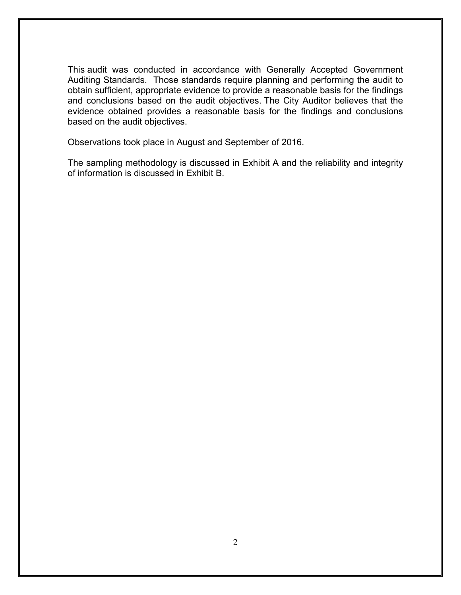This audit was conducted in accordance with Generally Accepted Government Auditing Standards. Those standards require planning and performing the audit to obtain sufficient, appropriate evidence to provide a reasonable basis for the findings and conclusions based on the audit objectives. The City Auditor believes that the evidence obtained provides a reasonable basis for the findings and conclusions based on the audit objectives.

Observations took place in August and September of 2016.

The sampling methodology is discussed in Exhibit A and the reliability and integrity of information is discussed in Exhibit B.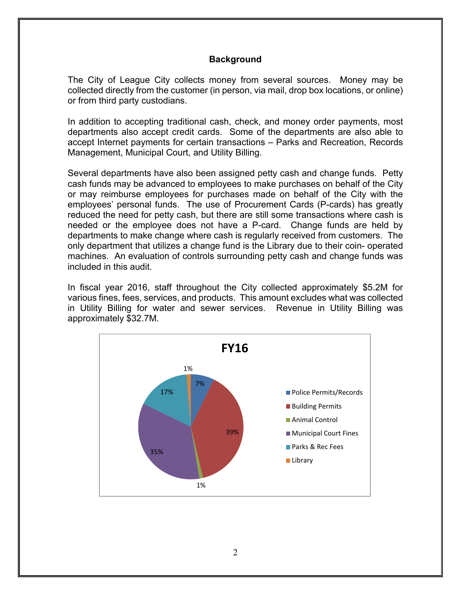#### **Background**

The City of League City collects money from several sources. Money may be collected directly from the customer (in person, via mail, drop box locations, or online) or from third party custodians.

In addition to accepting traditional cash, check, and money order payments, most departments also accept credit cards. Some of the departments are also able to accept Internet payments for certain transactions – Parks and Recreation, Records Management, Municipal Court, and Utility Billing.

Several departments have also been assigned petty cash and change funds. Petty cash funds may be advanced to employees to make purchases on behalf of the City or may reimburse employees for purchases made on behalf of the City with the employees' personal funds. The use of Procurement Cards (P-cards) has greatly reduced the need for petty cash, but there are still some transactions where cash is needed or the employee does not have a P-card. Change funds are held by departments to make change where cash is regularly received from customers. The only department that utilizes a change fund is the Library due to their coin- operated machines. An evaluation of controls surrounding petty cash and change funds was included in this audit.

In fiscal year 2016, staff throughout the City collected approximately \$5.2M for various fines, fees, services, and products. This amount excludes what was collected in Utility Billing for water and sewer services. Revenue in Utility Billing was approximately \$32.7M.

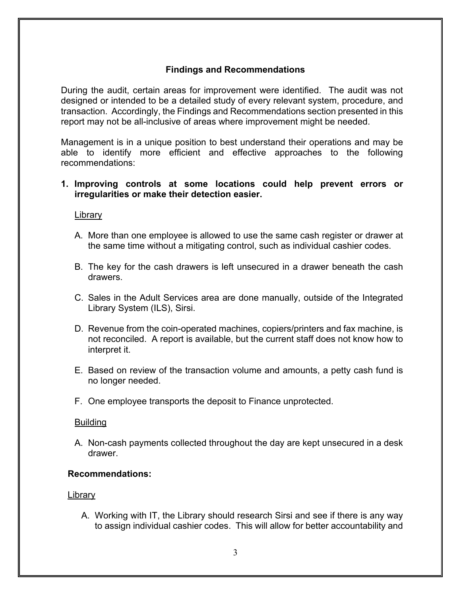#### **Findings and Recommendations**

During the audit, certain areas for improvement were identified. The audit was not designed or intended to be a detailed study of every relevant system, procedure, and transaction. Accordingly, the Findings and Recommendations section presented in this report may not be all-inclusive of areas where improvement might be needed.

Management is in a unique position to best understand their operations and may be able to identify more efficient and effective approaches to the following recommendations:

#### **1. Improving controls at some locations could help prevent errors or irregularities or make their detection easier.**

#### Library

- A. More than one employee is allowed to use the same cash register or drawer at the same time without a mitigating control, such as individual cashier codes.
- B. The key for the cash drawers is left unsecured in a drawer beneath the cash drawers.
- C. Sales in the Adult Services area are done manually, outside of the Integrated Library System (ILS), Sirsi.
- D. Revenue from the coin-operated machines, copiers/printers and fax machine, is not reconciled. A report is available, but the current staff does not know how to interpret it.
- E. Based on review of the transaction volume and amounts, a petty cash fund is no longer needed.
- F. One employee transports the deposit to Finance unprotected.

#### Building

A. Non-cash payments collected throughout the day are kept unsecured in a desk drawer.

#### **Recommendations:**

#### Library

A. Working with IT, the Library should research Sirsi and see if there is any way to assign individual cashier codes. This will allow for better accountability and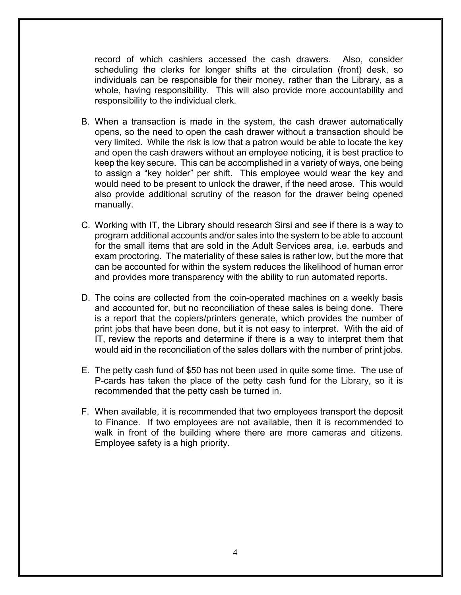record of which cashiers accessed the cash drawers. Also, consider scheduling the clerks for longer shifts at the circulation (front) desk, so individuals can be responsible for their money, rather than the Library, as a whole, having responsibility. This will also provide more accountability and responsibility to the individual clerk.

- B. When a transaction is made in the system, the cash drawer automatically opens, so the need to open the cash drawer without a transaction should be very limited. While the risk is low that a patron would be able to locate the key and open the cash drawers without an employee noticing, it is best practice to keep the key secure. This can be accomplished in a variety of ways, one being to assign a "key holder" per shift. This employee would wear the key and would need to be present to unlock the drawer, if the need arose. This would also provide additional scrutiny of the reason for the drawer being opened manually.
- C. Working with IT, the Library should research Sirsi and see if there is a way to program additional accounts and/or sales into the system to be able to account for the small items that are sold in the Adult Services area, i.e. earbuds and exam proctoring. The materiality of these sales is rather low, but the more that can be accounted for within the system reduces the likelihood of human error and provides more transparency with the ability to run automated reports.
- D. The coins are collected from the coin-operated machines on a weekly basis and accounted for, but no reconciliation of these sales is being done. There is a report that the copiers/printers generate, which provides the number of print jobs that have been done, but it is not easy to interpret. With the aid of IT, review the reports and determine if there is a way to interpret them that would aid in the reconciliation of the sales dollars with the number of print jobs.
- E. The petty cash fund of \$50 has not been used in quite some time. The use of P-cards has taken the place of the petty cash fund for the Library, so it is recommended that the petty cash be turned in.
- F. When available, it is recommended that two employees transport the deposit to Finance. If two employees are not available, then it is recommended to walk in front of the building where there are more cameras and citizens. Employee safety is a high priority.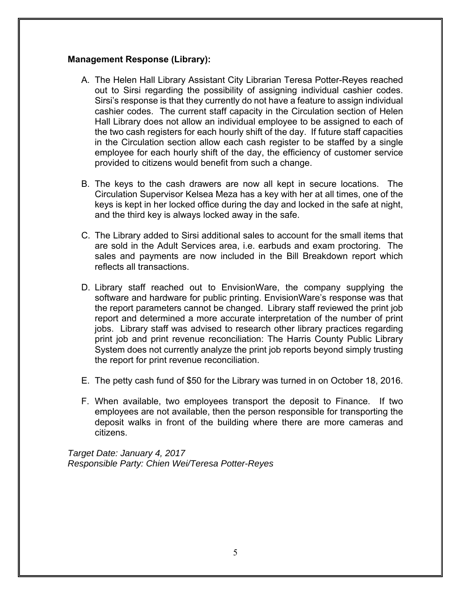#### **Management Response (Library):**

- A. The Helen Hall Library Assistant City Librarian Teresa Potter-Reyes reached out to Sirsi regarding the possibility of assigning individual cashier codes. Sirsi's response is that they currently do not have a feature to assign individual cashier codes. The current staff capacity in the Circulation section of Helen Hall Library does not allow an individual employee to be assigned to each of the two cash registers for each hourly shift of the day. If future staff capacities in the Circulation section allow each cash register to be staffed by a single employee for each hourly shift of the day, the efficiency of customer service provided to citizens would benefit from such a change.
- B. The keys to the cash drawers are now all kept in secure locations. The Circulation Supervisor Kelsea Meza has a key with her at all times, one of the keys is kept in her locked office during the day and locked in the safe at night, and the third key is always locked away in the safe.
- C. The Library added to Sirsi additional sales to account for the small items that are sold in the Adult Services area, i.e. earbuds and exam proctoring. The sales and payments are now included in the Bill Breakdown report which reflects all transactions.
- D. Library staff reached out to EnvisionWare, the company supplying the software and hardware for public printing. EnvisionWare's response was that the report parameters cannot be changed. Library staff reviewed the print job report and determined a more accurate interpretation of the number of print jobs. Library staff was advised to research other library practices regarding print job and print revenue reconciliation: The Harris County Public Library System does not currently analyze the print job reports beyond simply trusting the report for print revenue reconciliation.
- E. The petty cash fund of \$50 for the Library was turned in on October 18, 2016.
- F. When available, two employees transport the deposit to Finance. If two employees are not available, then the person responsible for transporting the deposit walks in front of the building where there are more cameras and citizens.

*Target Date: January 4, 2017 Responsible Party: Chien Wei/Teresa Potter-Reyes*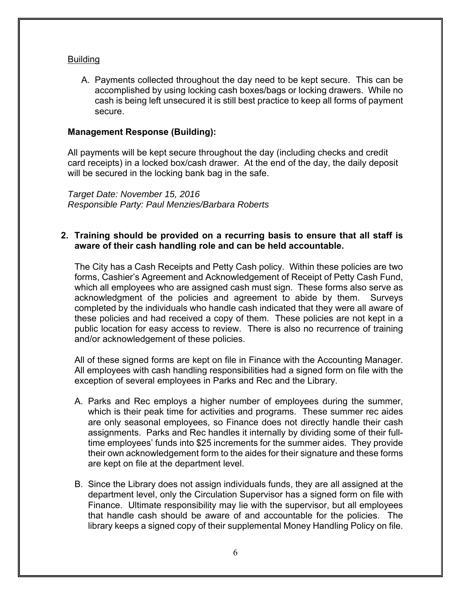#### Building

A. Payments collected throughout the day need to be kept secure. This can be accomplished by using locking cash boxes/bags or locking drawers. While no cash is being left unsecured it is still best practice to keep all forms of payment secure.

#### **Management Response (Building):**

All payments will be kept secure throughout the day (including checks and credit card receipts) in a locked box/cash drawer. At the end of the day, the daily deposit will be secured in the locking bank bag in the safe.

*Target Date: November 15, 2016 Responsible Party: Paul Menzies/Barbara Roberts* 

#### **2. Training should be provided on a recurring basis to ensure that all staff is aware of their cash handling role and can be held accountable.**

The City has a Cash Receipts and Petty Cash policy. Within these policies are two forms, Cashier's Agreement and Acknowledgement of Receipt of Petty Cash Fund, which all employees who are assigned cash must sign. These forms also serve as acknowledgment of the policies and agreement to abide by them. Surveys completed by the individuals who handle cash indicated that they were all aware of these policies and had received a copy of them. These policies are not kept in a public location for easy access to review. There is also no recurrence of training and/or acknowledgement of these policies.

All of these signed forms are kept on file in Finance with the Accounting Manager. All employees with cash handling responsibilities had a signed form on file with the exception of several employees in Parks and Rec and the Library.

- A. Parks and Rec employs a higher number of employees during the summer, which is their peak time for activities and programs. These summer rec aides are only seasonal employees, so Finance does not directly handle their cash assignments. Parks and Rec handles it internally by dividing some of their fulltime employees' funds into \$25 increments for the summer aides. They provide their own acknowledgement form to the aides for their signature and these forms are kept on file at the department level.
- B. Since the Library does not assign individuals funds, they are all assigned at the department level, only the Circulation Supervisor has a signed form on file with Finance. Ultimate responsibility may lie with the supervisor, but all employees that handle cash should be aware of and accountable for the policies. The library keeps a signed copy of their supplemental Money Handling Policy on file.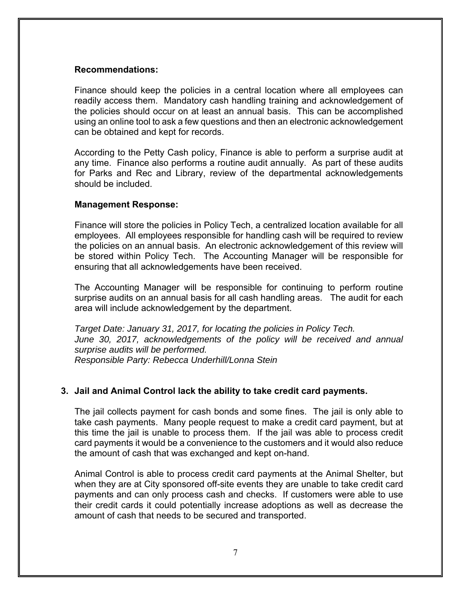#### **Recommendations:**

Finance should keep the policies in a central location where all employees can readily access them. Mandatory cash handling training and acknowledgement of the policies should occur on at least an annual basis. This can be accomplished using an online tool to ask a few questions and then an electronic acknowledgement can be obtained and kept for records.

According to the Petty Cash policy, Finance is able to perform a surprise audit at any time. Finance also performs a routine audit annually. As part of these audits for Parks and Rec and Library, review of the departmental acknowledgements should be included.

#### **Management Response:**

Finance will store the policies in Policy Tech, a centralized location available for all employees. All employees responsible for handling cash will be required to review the policies on an annual basis. An electronic acknowledgement of this review will be stored within Policy Tech. The Accounting Manager will be responsible for ensuring that all acknowledgements have been received.

The Accounting Manager will be responsible for continuing to perform routine surprise audits on an annual basis for all cash handling areas. The audit for each area will include acknowledgement by the department.

*Target Date: January 31, 2017, for locating the policies in Policy Tech. June 30, 2017, acknowledgements of the policy will be received and annual surprise audits will be performed. Responsible Party: Rebecca Underhill/Lonna Stein* 

#### **3. Jail and Animal Control lack the ability to take credit card payments.**

The jail collects payment for cash bonds and some fines. The jail is only able to take cash payments. Many people request to make a credit card payment, but at this time the jail is unable to process them. If the jail was able to process credit card payments it would be a convenience to the customers and it would also reduce the amount of cash that was exchanged and kept on-hand.

Animal Control is able to process credit card payments at the Animal Shelter, but when they are at City sponsored off-site events they are unable to take credit card payments and can only process cash and checks. If customers were able to use their credit cards it could potentially increase adoptions as well as decrease the amount of cash that needs to be secured and transported.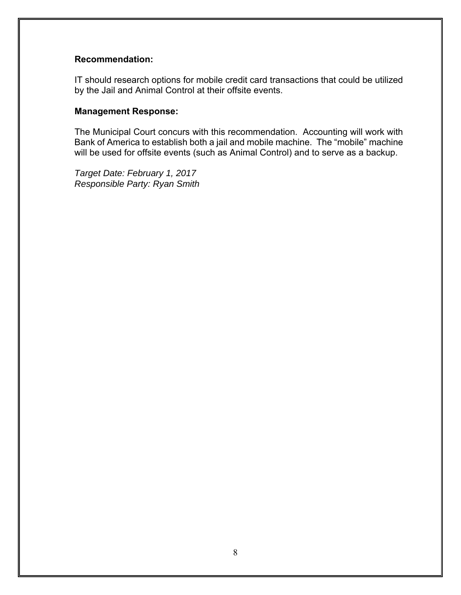#### **Recommendation:**

IT should research options for mobile credit card transactions that could be utilized by the Jail and Animal Control at their offsite events.

#### **Management Response:**

The Municipal Court concurs with this recommendation. Accounting will work with Bank of America to establish both a jail and mobile machine. The "mobile" machine will be used for offsite events (such as Animal Control) and to serve as a backup.

*Target Date: February 1, 2017 Responsible Party: Ryan Smith*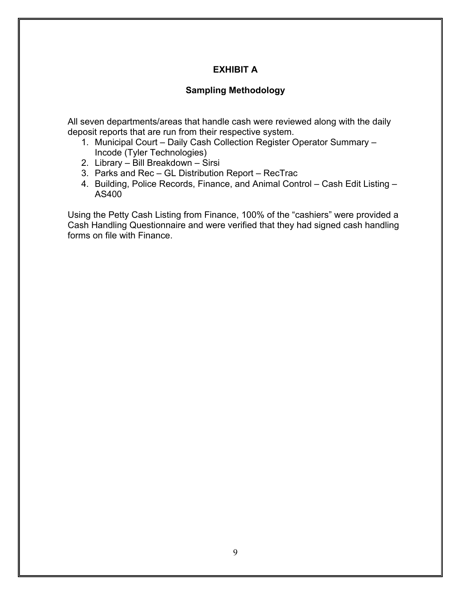# **EXHIBIT A**

### **Sampling Methodology**

All seven departments/areas that handle cash were reviewed along with the daily deposit reports that are run from their respective system.

- 1. Municipal Court Daily Cash Collection Register Operator Summary Incode (Tyler Technologies)
- 2. Library Bill Breakdown Sirsi
- 3. Parks and Rec GL Distribution Report RecTrac
- 4. Building, Police Records, Finance, and Animal Control Cash Edit Listing AS400

Using the Petty Cash Listing from Finance, 100% of the "cashiers" were provided a Cash Handling Questionnaire and were verified that they had signed cash handling forms on file with Finance.